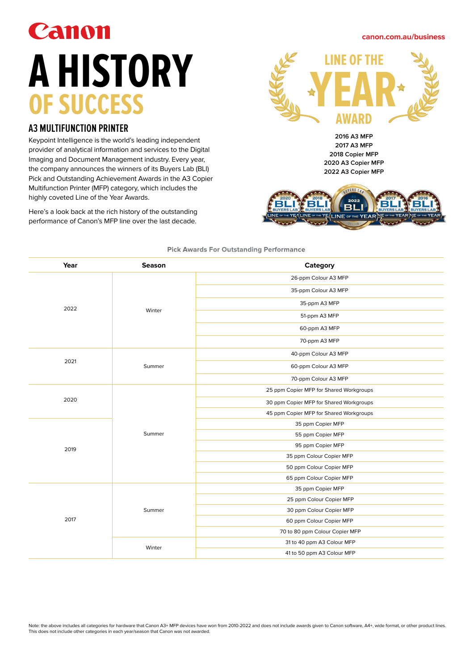# Canon **A HISTORY OF SUCCESS**

## **A3 MULTIFUNCTION PRINTER**

Keypoint Intelligence is the world's leading independent provider of analytical information and services to the Digital Imaging and Document Management industry. Every year, the company announces the winners of its Buyers Lab (BLI) Pick and Outstanding Achievement Awards in the A3 Copier Multifunction Printer (MFP) category, which includes the highly coveted Line of the Year Awards.

Here's a look back at the rich history of the outstanding performance of Canon's MFP line over the last decade.



**canon.com.au/business**

**2016 A3 MFP 2017 A3 MFP 2018 Copier MFP 2020 A3 Copier MFP 2022 A3 Copier MFP**



| Year | <b>Season</b> | Category                                |  |
|------|---------------|-----------------------------------------|--|
| 2022 | Winter        | 26-ppm Colour A3 MFP                    |  |
|      |               | 35-ppm Colour A3 MFP                    |  |
|      |               | 35-ppm A3 MFP                           |  |
|      |               | 51-ppm A3 MFP                           |  |
|      |               | 60-ppm A3 MFP                           |  |
|      |               | 70-ppm A3 MFP                           |  |
| 2021 |               | 40-ppm Colour A3 MFP                    |  |
|      | Summer        | 60-ppm Colour A3 MFP                    |  |
|      |               | 70-ppm Colour A3 MFP                    |  |
|      | Summer        | 25 ppm Copier MFP for Shared Workgroups |  |
| 2020 |               | 30 ppm Copier MFP for Shared Workgroups |  |
|      |               | 45 ppm Copier MFP for Shared Workgroups |  |
|      |               | 35 ppm Copier MFP                       |  |
|      |               | 55 ppm Copier MFP                       |  |
| 2019 |               | 95 ppm Copier MFP                       |  |
|      |               | 35 ppm Colour Copier MFP                |  |
|      |               | 50 ppm Colour Copier MFP                |  |
|      |               | 65 ppm Colour Copier MFP                |  |
| 2017 | Summer        | 35 ppm Copier MFP                       |  |
|      |               | 25 ppm Colour Copier MFP                |  |
|      |               | 30 ppm Colour Copier MFP                |  |
|      |               | 60 ppm Colour Copier MFP                |  |
|      |               | 70 to 80 ppm Colour Copier MFP          |  |
|      | Winter        | 31 to 40 ppm A3 Colour MFP              |  |
|      |               | 41 to 50 ppm A3 Colour MFP              |  |

### **Pick Awards For Outstanding Performance**